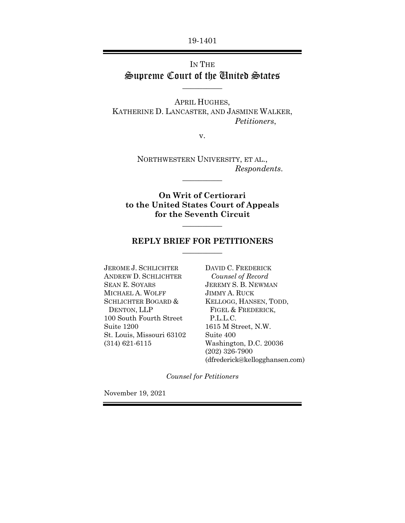19-1401

## IN THE Supreme Court of the United States  $\overline{\phantom{a}}$  , where  $\overline{\phantom{a}}$

APRIL HUGHES, KATHERINE D. LANCASTER, AND JASMINE WALKER, *Petitioners*,

v.

NORTHWESTERN UNIVERSITY, ET AL., *Respondents*.

 $\overline{\phantom{a}}$ 

**On Writ of Certiorari to the United States Court of Appeals for the Seventh Circuit**  $\overline{\phantom{a}}$ 

#### **REPLY BRIEF FOR PETITIONERS**   $\overline{\phantom{a}}$

JEROME J. SCHLICHTER ANDREW D. SCHLICHTER SEAN E. SOYARS MICHAEL A. WOLFF SCHLICHTER BOGARD & DENTON, LLP 100 South Fourth Street Suite 1200 St. Louis, Missouri 63102 (314) 621-6115

DAVID C. FREDERICK  *Counsel of Record*  JEREMY S. B. NEWMAN JIMMY A. RUCK KELLOGG, HANSEN, TODD, FIGEL & FREDERICK, P.L.L.C. 1615 M Street, N.W. Suite 400 Washington, D.C. 20036 (202) 326-7900 (dfrederick@kellogghansen.com)

*Counsel for Petitioners* 

November 19, 2021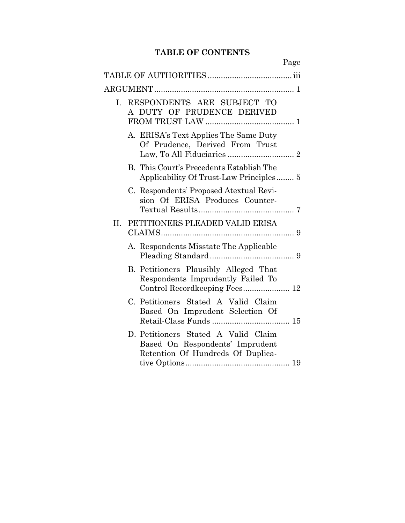# **TABLE OF CONTENTS**

|                                                                                                             | Page |
|-------------------------------------------------------------------------------------------------------------|------|
|                                                                                                             |      |
|                                                                                                             |      |
| I. RESPONDENTS ARE SUBJECT TO<br>A DUTY OF PRUDENCE DERIVED                                                 |      |
| A. ERISA's Text Applies The Same Duty<br>Of Prudence, Derived From Trust                                    |      |
| B. This Court's Precedents Establish The<br>Applicability Of Trust-Law Principles 5                         |      |
| C. Respondents' Proposed Atextual Revi-<br>sion Of ERISA Produces Counter-                                  |      |
| II. PETITIONERS PLEADED VALID ERISA                                                                         |      |
| A. Respondents Misstate The Applicable                                                                      |      |
| B. Petitioners Plausibly Alleged That<br>Respondents Imprudently Failed To<br>Control Recordkeeping Fees 12 |      |
| C. Petitioners Stated A Valid Claim<br>Based On Imprudent Selection Of                                      |      |
| D. Petitioners Stated A Valid Claim<br>Based On Respondents' Imprudent<br>Retention Of Hundreds Of Duplica- |      |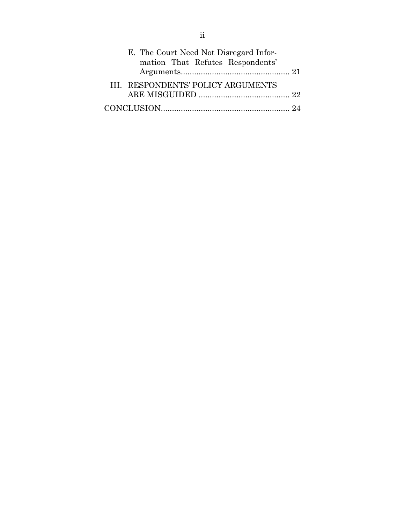| E. The Court Need Not Disregard Infor-<br>mation That Refutes Respondents' |  |
|----------------------------------------------------------------------------|--|
|                                                                            |  |
| III. RESPONDENTS' POLICY ARGUMENTS                                         |  |
|                                                                            |  |
|                                                                            |  |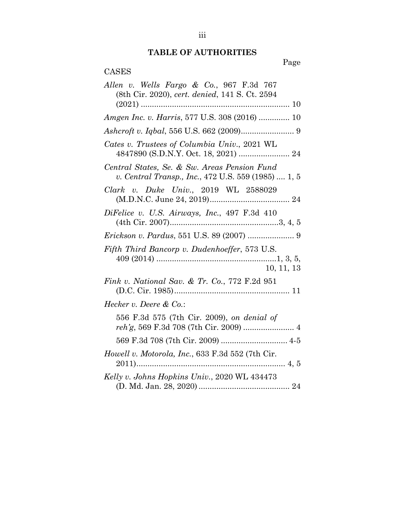# **TABLE OF AUTHORITIES**

Page

| CASES                                                                                               |
|-----------------------------------------------------------------------------------------------------|
| Allen v. Wells Fargo & Co., 967 F.3d 767<br>(8th Cir. 2020), cert. denied, 141 S. Ct. 2594          |
| Amgen Inc. v. Harris, 577 U.S. 308 (2016)  10                                                       |
|                                                                                                     |
| Cates v. Trustees of Columbia Univ., 2021 WL                                                        |
| Central States, Se. & Sw. Areas Pension Fund<br>v. Central Transp., Inc., 472 U.S. 559 (1985)  1, 5 |
| Clark v. Duke Univ., 2019 WL 2588029                                                                |
| DiFelice v. U.S. Airways, Inc., 497 F.3d 410                                                        |
| Erickson v. Pardus, 551 U.S. 89 (2007)  9                                                           |
| Fifth Third Bancorp v. Dudenhoeffer, 573 U.S.<br>10, 11, 13                                         |
| Fink v. National Sav. & Tr. Co., 772 F.2d 951                                                       |
| Hecker v. Deere $\&$ Co.:                                                                           |
| 556 F.3d 575 (7th Cir. 2009), on denial of                                                          |
| 569 F.3d 708 (7th Cir. 2009)  4-5                                                                   |
| Howell v. Motorola, Inc., 633 F.3d 552 (7th Cir.                                                    |
| Kelly v. Johns Hopkins Univ., 2020 WL 434473                                                        |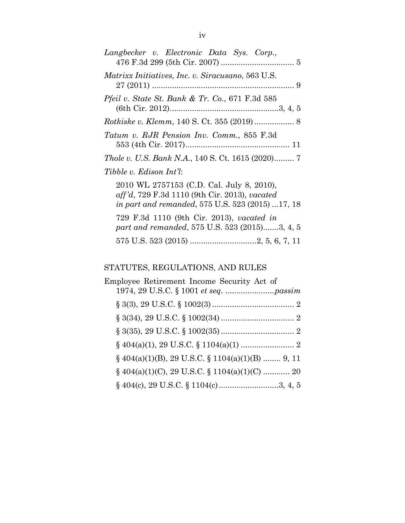| Langbecker v. Electronic Data Sys. Corp.,                                                                                                             |
|-------------------------------------------------------------------------------------------------------------------------------------------------------|
| <i>Matrixx Initiatives, Inc. v. Siracusano, 563 U.S.</i>                                                                                              |
| <i>Pfeil v. State St. Bank &amp; Tr. Co., 671 F.3d 585</i>                                                                                            |
| <i>Rotkiske v. Klemm, 140 S. Ct. 355 (2019) </i> 8                                                                                                    |
| Tatum v. RJR Pension Inv. Comm., 855 F.3d                                                                                                             |
| <i>Thole v. U.S. Bank N.A.</i> , 140 S. Ct. 1615 (2020) 7                                                                                             |
| Tibble v. Edison Int'l:                                                                                                                               |
| 2010 WL 2757153 (C.D. Cal. July 8, 2010),<br>aff'd, 729 F.3d 1110 (9th Cir. 2013), vacated<br><i>in part and remanded,</i> 575 U.S. 523 (2015) 17, 18 |
| 729 F.3d 1110 (9th Cir. 2013), vacated in<br>part and remanded, 575 U.S. 523 (2015)3, 4, 5                                                            |
|                                                                                                                                                       |

# STATUTES, REGULATIONS, AND RULES

| Employee Retirement Income Security Act of           |
|------------------------------------------------------|
|                                                      |
|                                                      |
|                                                      |
|                                                      |
| § $404(a)(1)(B)$ , 29 U.S.C. § $1104(a)(1)(B)$ 9, 11 |
| $\S$ 404(a)(1)(C), 29 U.S.C. $\S$ 1104(a)(1)(C)  20  |
|                                                      |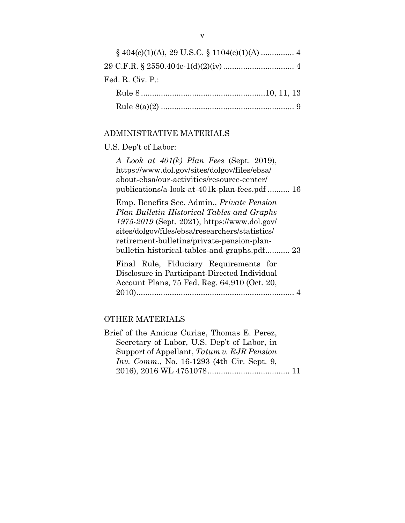| Fed. R. Civ. $P_{\cdot}$ : |
|----------------------------|
|                            |
|                            |

## ADMINISTRATIVE MATERIALS

# U.S. Dep't of Labor:

| A Look at $401(k)$ Plan Fees (Sept. 2019),        |
|---------------------------------------------------|
| https://www.dol.gov/sites/dolgov/files/ebsa/      |
| about-ebsa/our-activities/resource-center/        |
| publications/a-look-at-401k-plan-fees.pdf  16     |
| Emp. Benefits Sec. Admin., <i>Private Pension</i> |
| Plan Bulletin Historical Tables and Graphs        |
| 1975-2019 (Sept. 2021), https://www.dol.gov/      |
| sites/dolgov/files/ebsa/researchers/statistics/   |
| retirement-bulletins/private-pension-plan-        |
| bulletin-historical-tables-and-graphs.pdf 23      |
| Final Rule, Fiduciary Requirements for            |
| Disclosure in Participant-Directed Individual     |
| Account Plans, 75 Fed. Reg. 64,910 (Oct. 20,      |
|                                                   |
|                                                   |

# OTHER MATERIALS

| Brief of the Amicus Curiae, Thomas E. Perez,       |  |
|----------------------------------------------------|--|
| Secretary of Labor, U.S. Dep't of Labor, in        |  |
| Support of Appellant, Tatum v. RJR Pension         |  |
| <i>Inv. Comm.</i> , No. 16-1293 (4th Cir. Sept. 9, |  |
|                                                    |  |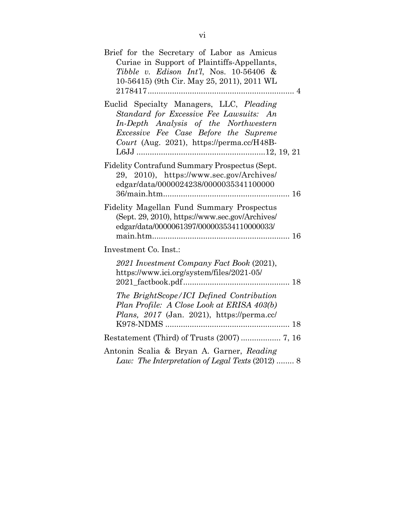| Brief for the Secretary of Labor as Amicus<br>Curiae in Support of Plaintiffs-Appellants,<br>Tibble v. Edison Int'l, Nos. $10-56406$ &<br>10-56415) (9th Cir. May 25, 2011), 2011 WL                               |  |
|--------------------------------------------------------------------------------------------------------------------------------------------------------------------------------------------------------------------|--|
| Euclid Specialty Managers, LLC, Pleading<br>Standard for Excessive Fee Lawsuits: An<br>In-Depth Analysis of the Northwestern<br>Excessive Fee Case Before the Supreme<br>Court (Aug. 2021), https://perma.cc/H48B- |  |
| Fidelity Contrafund Summary Prospectus (Sept.<br>29, 2010), https://www.sec.gov/Archives/<br>edgar/data/0000024238/0000035341100000                                                                                |  |
| Fidelity Magellan Fund Summary Prospectus<br>(Sept. 29, 2010), https://www.sec.gov/Archives/<br>edgar/data/0000061397/000003534110000033/                                                                          |  |
| Investment Co. Inst.:                                                                                                                                                                                              |  |
| 2021 Investment Company Fact Book (2021),<br>https://www.ici.org/system/files/2021-05/                                                                                                                             |  |
| The BrightScope/ICI Defined Contribution<br>Plan Profile: A Close Look at ERISA 403(b)<br>Plans, 2017 (Jan. 2021), https://perma.cc/                                                                               |  |
|                                                                                                                                                                                                                    |  |
| Antonin Scalia & Bryan A. Garner, Reading<br>Law: The Interpretation of Legal Texts (2012)  8                                                                                                                      |  |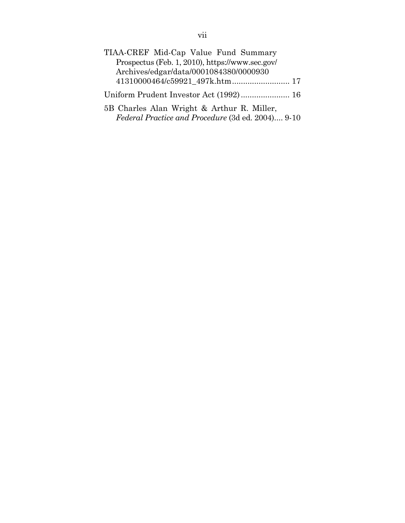| TIAA-CREF Mid-Cap Value Fund Summary              |  |
|---------------------------------------------------|--|
| Prospectus (Feb. 1, 2010), https://www.sec.gov/   |  |
| Archives/edgar/data/0001084380/0000930            |  |
| 41310000464/c59921_497k.htm 17                    |  |
|                                                   |  |
| 5B Charles Alan Wright & Arthur R. Miller,        |  |
| Federal Practice and Procedure (3d ed. 2004) 9-10 |  |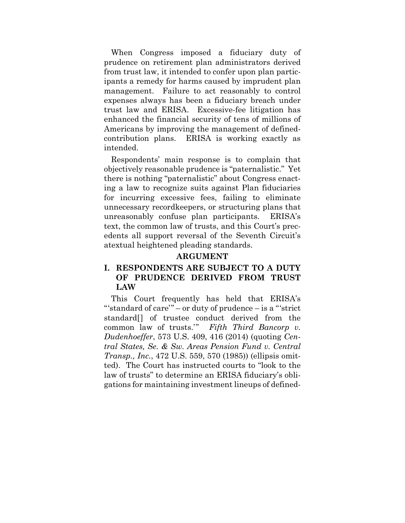When Congress imposed a fiduciary duty of prudence on retirement plan administrators derived from trust law, it intended to confer upon plan participants a remedy for harms caused by imprudent plan management. Failure to act reasonably to control expenses always has been a fiduciary breach under trust law and ERISA. Excessive-fee litigation has enhanced the financial security of tens of millions of Americans by improving the management of definedcontribution plans. ERISA is working exactly as intended.

Respondents' main response is to complain that objectively reasonable prudence is "paternalistic." Yet there is nothing "paternalistic" about Congress enacting a law to recognize suits against Plan fiduciaries for incurring excessive fees, failing to eliminate unnecessary recordkeepers, or structuring plans that unreasonably confuse plan participants. ERISA's text, the common law of trusts, and this Court's precedents all support reversal of the Seventh Circuit's atextual heightened pleading standards.

#### **ARGUMENT**

### **I. RESPONDENTS ARE SUBJECT TO A DUTY OF PRUDENCE DERIVED FROM TRUST LAW**

This Court frequently has held that ERISA's "'standard of care'" – or duty of prudence – is a "'strict standard[] of trustee conduct derived from the common law of trusts.'" *Fifth Third Bancorp v. Dudenhoeffer*, 573 U.S. 409, 416 (2014) (quoting *Central States, Se. & Sw. Areas Pension Fund v. Central Transp., Inc.*, 472 U.S. 559, 570 (1985)) (ellipsis omitted). The Court has instructed courts to "look to the law of trusts" to determine an ERISA fiduciary's obligations for maintaining investment lineups of defined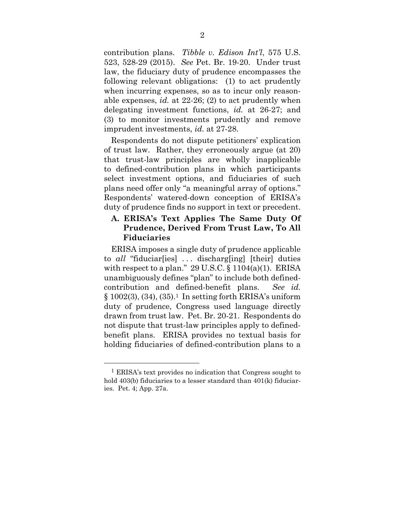contribution plans. *Tibble v. Edison Int'l*, 575 U.S. 523, 528-29 (2015). *See* Pet. Br. 19-20. Under trust law, the fiduciary duty of prudence encompasses the following relevant obligations: (1) to act prudently when incurring expenses, so as to incur only reasonable expenses, *id.* at 22-26; (2) to act prudently when delegating investment functions, *id.* at 26-27; and (3) to monitor investments prudently and remove imprudent investments, *id.* at 27-28.

Respondents do not dispute petitioners' explication of trust law. Rather, they erroneously argue (at 20) that trust-law principles are wholly inapplicable to defined-contribution plans in which participants select investment options, and fiduciaries of such plans need offer only "a meaningful array of options." Respondents' watered-down conception of ERISA's duty of prudence finds no support in text or precedent.

#### **A. ERISA's Text Applies The Same Duty Of Prudence, Derived From Trust Law, To All Fiduciaries**

ERISA imposes a single duty of prudence applicable to *all* "fiduciar[ies] . . . discharg[ing] [their] duties with respect to a plan."  $29 \text{ U.S.C.}$  §  $1104(a)(1)$ . ERISA unambiguously defines "plan" to include both definedcontribution and defined-benefit plans. *See id.*  $§ 1002(3), (34), (35).<sup>1</sup> In setting forth ERISA's uniform$ duty of prudence, Congress used language directly drawn from trust law. Pet. Br. 20-21. Respondents do not dispute that trust-law principles apply to definedbenefit plans. ERISA provides no textual basis for holding fiduciaries of defined-contribution plans to a

<sup>1</sup> ERISA's text provides no indication that Congress sought to hold 403(b) fiduciaries to a lesser standard than 401(k) fiduciaries. Pet. 4; App. 27a.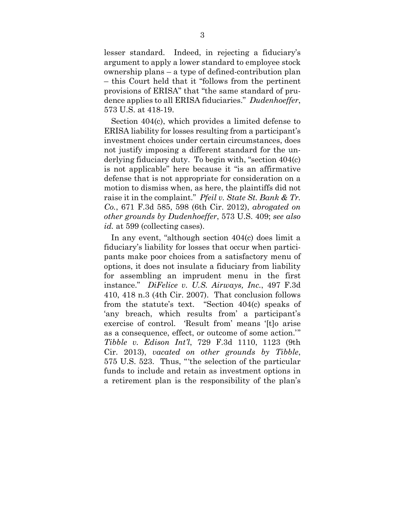lesser standard. Indeed, in rejecting a fiduciary's argument to apply a lower standard to employee stock ownership plans – a type of defined-contribution plan – this Court held that it "follows from the pertinent provisions of ERISA" that "the same standard of prudence applies to all ERISA fiduciaries." *Dudenhoeffer*, 573 U.S. at 418-19.

Section 404(c), which provides a limited defense to ERISA liability for losses resulting from a participant's investment choices under certain circumstances, does not justify imposing a different standard for the underlying fiduciary duty. To begin with, "section 404(c) is not applicable" here because it "is an affirmative defense that is not appropriate for consideration on a motion to dismiss when, as here, the plaintiffs did not raise it in the complaint." *Pfeil v. State St. Bank & Tr. Co.*, 671 F.3d 585, 598 (6th Cir. 2012), *abrogated on other grounds by Dudenhoeffer*, 573 U.S. 409; *see also id.* at 599 (collecting cases).

In any event, "although section 404(c) does limit a fiduciary's liability for losses that occur when participants make poor choices from a satisfactory menu of options, it does not insulate a fiduciary from liability for assembling an imprudent menu in the first instance." *DiFelice v. U.S. Airways, Inc.*, 497 F.3d 410, 418 n.3 (4th Cir. 2007). That conclusion follows from the statute's text. "Section 404(c) speaks of 'any breach, which results from' a participant's exercise of control. 'Result from' means '[t]o arise as a consequence, effect, or outcome of some action.'" *Tibble v. Edison Int'l*, 729 F.3d 1110, 1123 (9th Cir. 2013), *vacated on other grounds by Tibble*, 575 U.S. 523. Thus, "'the selection of the particular funds to include and retain as investment options in a retirement plan is the responsibility of the plan's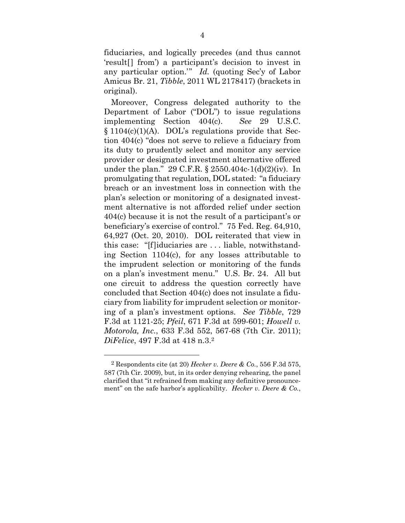fiduciaries, and logically precedes (and thus cannot 'result[] from') a participant's decision to invest in any particular option.'" *Id.* (quoting Sec'y of Labor Amicus Br. 21, *Tibble*, 2011 WL 2178417) (brackets in original).

Moreover, Congress delegated authority to the Department of Labor ("DOL") to issue regulations implementing Section 404(c). *See* 29 U.S.C. § 1104(c)(1)(A). DOL's regulations provide that Section 404(c) "does not serve to relieve a fiduciary from its duty to prudently select and monitor any service provider or designated investment alternative offered under the plan." 29 C.F.R. § 2550.404c-1(d)(2)(iv). In promulgating that regulation, DOL stated: "a fiduciary breach or an investment loss in connection with the plan's selection or monitoring of a designated investment alternative is not afforded relief under section 404(c) because it is not the result of a participant's or beneficiary's exercise of control." 75 Fed. Reg. 64,910, 64,927 (Oct. 20, 2010). DOL reiterated that view in this case: "[f]iduciaries are . . . liable, notwithstanding Section 1104(c), for any losses attributable to the imprudent selection or monitoring of the funds on a plan's investment menu." U.S. Br. 24. All but one circuit to address the question correctly have concluded that Section 404(c) does not insulate a fiduciary from liability for imprudent selection or monitoring of a plan's investment options. *See Tibble*, 729 F.3d at 1121-25; *Pfeil*, 671 F.3d at 599-601; *Howell v. Motorola, Inc.*, 633 F.3d 552, 567-68 (7th Cir. 2011); *DiFelice*, 497 F.3d at 418 n.3.2

<sup>2</sup> Respondents cite (at 20) *Hecker v. Deere & Co.*, 556 F.3d 575, 587 (7th Cir. 2009), but, in its order denying rehearing, the panel clarified that "it refrained from making any definitive pronouncement" on the safe harbor's applicability. *Hecker v. Deere & Co.*,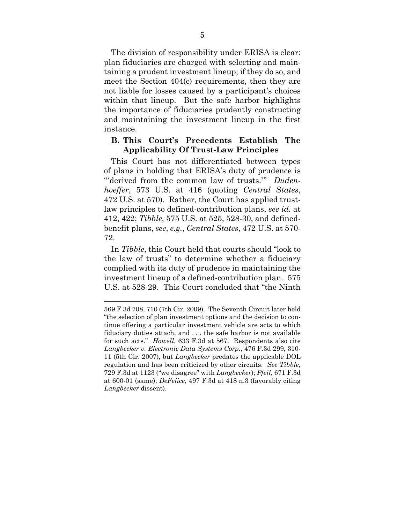The division of responsibility under ERISA is clear: plan fiduciaries are charged with selecting and maintaining a prudent investment lineup; if they do so, and meet the Section 404(c) requirements, then they are not liable for losses caused by a participant's choices within that lineup. But the safe harbor highlights the importance of fiduciaries prudently constructing and maintaining the investment lineup in the first instance.

#### **B. This Court's Precedents Establish The Applicability Of Trust-Law Principles**

This Court has not differentiated between types of plans in holding that ERISA's duty of prudence is "'derived from the common law of trusts.'" *Dudenhoeffer*, 573 U.S. at 416 (quoting *Central States*, 472 U.S. at 570). Rather, the Court has applied trustlaw principles to defined-contribution plans, *see id.* at 412, 422; *Tibble*, 575 U.S. at 525, 528-30, and definedbenefit plans, *see*, *e.g.*, *Central States*, 472 U.S. at 570- 72.

In *Tibble*, this Court held that courts should "look to the law of trusts" to determine whether a fiduciary complied with its duty of prudence in maintaining the investment lineup of a defined-contribution plan. 575 U.S. at 528-29. This Court concluded that "the Ninth

<u>.</u>

<sup>569</sup> F.3d 708, 710 (7th Cir. 2009). The Seventh Circuit later held "the selection of plan investment options and the decision to continue offering a particular investment vehicle are acts to which fiduciary duties attach, and . . . the safe harbor is not available for such acts." *Howell*, 633 F.3d at 567. Respondents also cite *Langbecker v. Electronic Data Systems Corp.*, 476 F.3d 299, 310- 11 (5th Cir. 2007), but *Langbecker* predates the applicable DOL regulation and has been criticized by other circuits. *See Tibble*, 729 F.3d at 1123 ("we disagree" with *Langbecker*); *Pfeil*, 671 F.3d at 600-01 (same); *DeFelice*, 497 F.3d at 418 n.3 (favorably citing *Langbecker* dissent).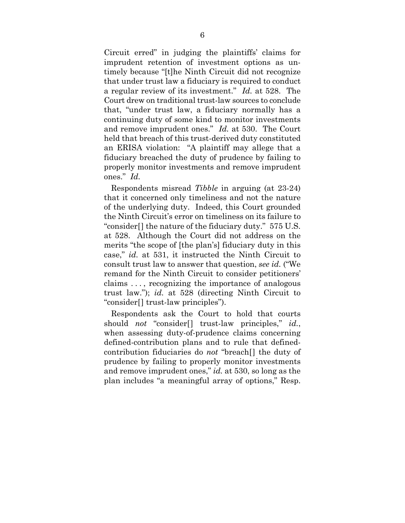Circuit erred" in judging the plaintiffs' claims for imprudent retention of investment options as untimely because "[t]he Ninth Circuit did not recognize that under trust law a fiduciary is required to conduct a regular review of its investment." *Id.* at 528. The Court drew on traditional trust-law sources to conclude that, "under trust law, a fiduciary normally has a continuing duty of some kind to monitor investments and remove imprudent ones." *Id.* at 530. The Court held that breach of this trust-derived duty constituted an ERISA violation: "A plaintiff may allege that a fiduciary breached the duty of prudence by failing to properly monitor investments and remove imprudent ones." *Id.*

Respondents misread *Tibble* in arguing (at 23-24) that it concerned only timeliness and not the nature of the underlying duty. Indeed, this Court grounded the Ninth Circuit's error on timeliness on its failure to "consider[] the nature of the fiduciary duty." 575 U.S. at 528. Although the Court did not address on the merits "the scope of [the plan's] fiduciary duty in this case," *id.* at 531, it instructed the Ninth Circuit to consult trust law to answer that question, *see id.* ("We remand for the Ninth Circuit to consider petitioners' claims . . . , recognizing the importance of analogous trust law."); *id.* at 528 (directing Ninth Circuit to "consider[] trust-law principles").

Respondents ask the Court to hold that courts should *not* "consider<sup>[]</sup> trust-law principles," *id.*, when assessing duty-of-prudence claims concerning defined-contribution plans and to rule that definedcontribution fiduciaries do *not* "breach[] the duty of prudence by failing to properly monitor investments and remove imprudent ones," *id.* at 530, so long as the plan includes "a meaningful array of options," Resp.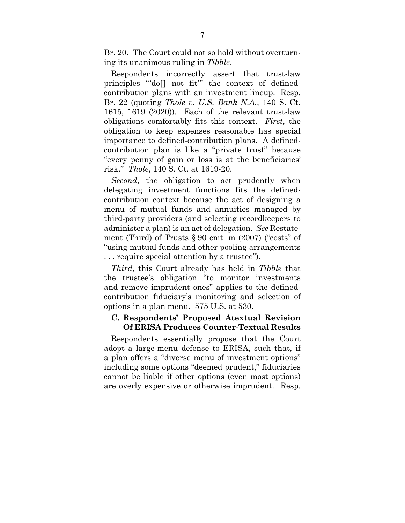Br. 20. The Court could not so hold without overturning its unanimous ruling in *Tibble*.

Respondents incorrectly assert that trust-law principles "'do[] not fit'" the context of definedcontribution plans with an investment lineup. Resp. Br. 22 (quoting *Thole v. U.S. Bank N.A.*, 140 S. Ct. 1615, 1619 (2020)). Each of the relevant trust-law obligations comfortably fits this context. *First*, the obligation to keep expenses reasonable has special importance to defined-contribution plans. A definedcontribution plan is like a "private trust" because "every penny of gain or loss is at the beneficiaries' risk." *Thole*, 140 S. Ct. at 1619-20.

*Second*, the obligation to act prudently when delegating investment functions fits the definedcontribution context because the act of designing a menu of mutual funds and annuities managed by third-party providers (and selecting recordkeepers to administer a plan) is an act of delegation. *See* Restatement (Third) of Trusts  $\S 90$  cmt. m (2007) ("costs" of "using mutual funds and other pooling arrangements . . . require special attention by a trustee").

*Third*, this Court already has held in *Tibble* that the trustee's obligation "to monitor investments and remove imprudent ones" applies to the definedcontribution fiduciary's monitoring and selection of options in a plan menu. 575 U.S. at 530.

#### **C. Respondents' Proposed Atextual Revision Of ERISA Produces Counter-Textual Results**

Respondents essentially propose that the Court adopt a large-menu defense to ERISA, such that, if a plan offers a "diverse menu of investment options" including some options "deemed prudent," fiduciaries cannot be liable if other options (even most options) are overly expensive or otherwise imprudent. Resp.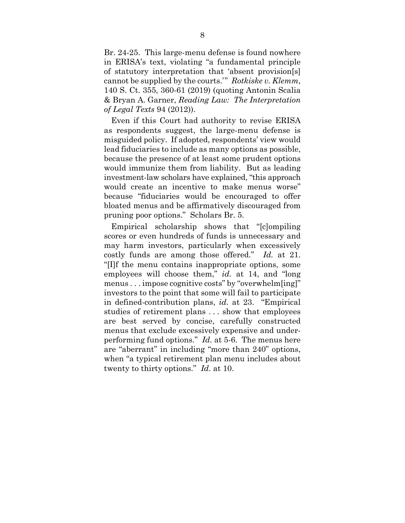Br. 24-25. This large-menu defense is found nowhere in ERISA's text, violating "a fundamental principle of statutory interpretation that 'absent provision[s] cannot be supplied by the courts.'" *Rotkiske v. Klemm*, 140 S. Ct. 355, 360-61 (2019) (quoting Antonin Scalia & Bryan A. Garner, *Reading Law: The Interpretation of Legal Texts* 94 (2012)).

Even if this Court had authority to revise ERISA as respondents suggest, the large-menu defense is misguided policy. If adopted, respondents' view would lead fiduciaries to include as many options as possible, because the presence of at least some prudent options would immunize them from liability. But as leading investment-law scholars have explained, "this approach would create an incentive to make menus worse" because "fiduciaries would be encouraged to offer bloated menus and be affirmatively discouraged from pruning poor options." Scholars Br. 5.

Empirical scholarship shows that "[c]ompiling scores or even hundreds of funds is unnecessary and may harm investors, particularly when excessively costly funds are among those offered." *Id.* at 21. "[I]f the menu contains inappropriate options, some employees will choose them," *id.* at 14, and "long menus . . . impose cognitive costs" by "overwhelm[ing]" investors to the point that some will fail to participate in defined-contribution plans, *id.* at 23. "Empirical studies of retirement plans . . . show that employees are best served by concise, carefully constructed menus that exclude excessively expensive and underperforming fund options." *Id.* at 5-6. The menus here are "aberrant" in including "more than 240" options, when "a typical retirement plan menu includes about twenty to thirty options." *Id.* at 10.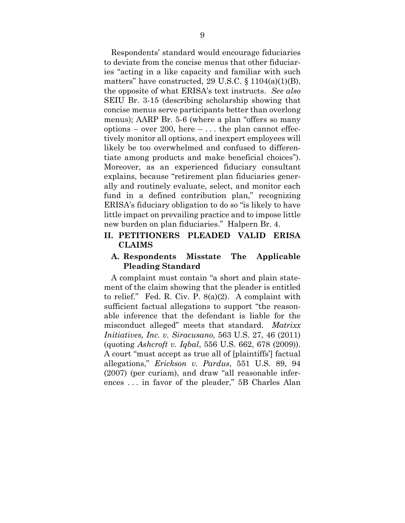Respondents' standard would encourage fiduciaries to deviate from the concise menus that other fiduciaries "acting in a like capacity and familiar with such matters" have constructed, 29 U.S.C.  $\S 1104(a)(1)(B)$ , the opposite of what ERISA's text instructs. *See also* SEIU Br. 3-15 (describing scholarship showing that concise menus serve participants better than overlong menus); AARP Br. 5-6 (where a plan "offers so many options – over 200, here  $- \dots$  the plan cannot effectively monitor all options, and inexpert employees will likely be too overwhelmed and confused to differentiate among products and make beneficial choices"). Moreover, as an experienced fiduciary consultant explains, because "retirement plan fiduciaries generally and routinely evaluate, select, and monitor each fund in a defined contribution plan," recognizing ERISA's fiduciary obligation to do so "is likely to have little impact on prevailing practice and to impose little new burden on plan fiduciaries." Halpern Br. 4.

#### **II. PETITIONERS PLEADED VALID ERISA CLAIMS**

#### **A. Respondents Misstate The Applicable Pleading Standard**

A complaint must contain "a short and plain statement of the claim showing that the pleader is entitled to relief." Fed. R. Civ. P. 8(a)(2). A complaint with sufficient factual allegations to support "the reasonable inference that the defendant is liable for the misconduct alleged" meets that standard. *Matrixx Initiatives, Inc. v. Siracusano*, 563 U.S. 27, 46 (2011) (quoting *Ashcroft v. Iqbal*, 556 U.S. 662, 678 (2009)). A court "must accept as true all of [plaintiffs'] factual allegations," *Erickson v. Pardus*, 551 U.S. 89, 94 (2007) (per curiam), and draw "all reasonable inferences . . . in favor of the pleader," 5B Charles Alan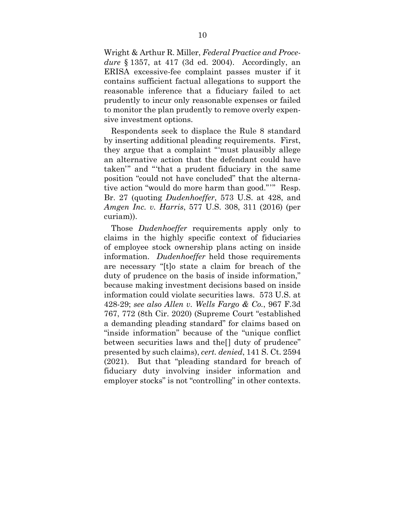Wright & Arthur R. Miller, *Federal Practice and Procedure* § 1357, at 417 (3d ed. 2004). Accordingly, an ERISA excessive-fee complaint passes muster if it contains sufficient factual allegations to support the reasonable inference that a fiduciary failed to act prudently to incur only reasonable expenses or failed to monitor the plan prudently to remove overly expensive investment options.

Respondents seek to displace the Rule 8 standard by inserting additional pleading requirements. First, they argue that a complaint "'must plausibly allege an alternative action that the defendant could have taken'" and "'that a prudent fiduciary in the same position "could not have concluded" that the alternative action "would do more harm than good."'" Resp. Br. 27 (quoting *Dudenhoeffer*, 573 U.S. at 428, and *Amgen Inc. v. Harris*, 577 U.S. 308, 311 (2016) (per curiam)).

Those *Dudenhoeffer* requirements apply only to claims in the highly specific context of fiduciaries of employee stock ownership plans acting on inside information. *Dudenhoeffer* held those requirements are necessary "[t]o state a claim for breach of the duty of prudence on the basis of inside information," because making investment decisions based on inside information could violate securities laws. 573 U.S. at 428-29; *see also Allen v. Wells Fargo & Co.*, 967 F.3d 767, 772 (8th Cir. 2020) (Supreme Court "established a demanding pleading standard" for claims based on "inside information" because of the "unique conflict between securities laws and the[] duty of prudence" presented by such claims), *cert. denied*, 141 S. Ct. 2594 (2021). But that "pleading standard for breach of fiduciary duty involving insider information and employer stocks" is not "controlling" in other contexts.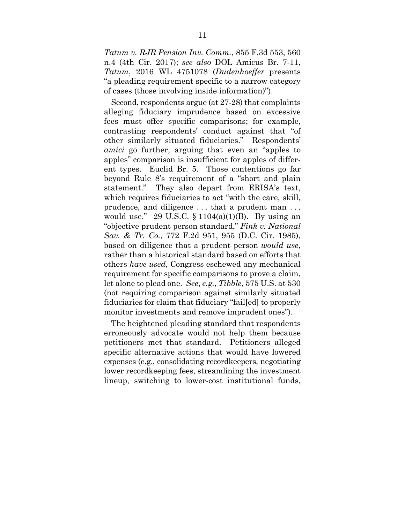*Tatum v. RJR Pension Inv. Comm.*, 855 F.3d 553, 560 n.4 (4th Cir. 2017); *see also* DOL Amicus Br. 7-11, *Tatum*, 2016 WL 4751078 (*Dudenhoeffer* presents "a pleading requirement specific to a narrow category of cases (those involving inside information)").

Second, respondents argue (at 27-28) that complaints alleging fiduciary imprudence based on excessive fees must offer specific comparisons; for example, contrasting respondents' conduct against that "of other similarly situated fiduciaries." Respondents' *amici* go further, arguing that even an "apples to apples" comparison is insufficient for apples of different types. Euclid Br. 5. Those contentions go far beyond Rule 8's requirement of a "short and plain statement." They also depart from ERISA's text, which requires fiduciaries to act "with the care, skill, prudence, and diligence . . . that a prudent man . . . would use." 29 U.S.C.  $\S 1104(a)(1)(B)$ . By using an "objective prudent person standard," *Fink v. National Sav. & Tr. Co.*, 772 F.2d 951, 955 (D.C. Cir. 1985), based on diligence that a prudent person *would use*, rather than a historical standard based on efforts that others *have used*, Congress eschewed any mechanical requirement for specific comparisons to prove a claim, let alone to plead one. *See*, *e.g.*, *Tibble*, 575 U.S. at 530 (not requiring comparison against similarly situated fiduciaries for claim that fiduciary "fail[ed] to properly monitor investments and remove imprudent ones").

The heightened pleading standard that respondents erroneously advocate would not help them because petitioners met that standard. Petitioners alleged specific alternative actions that would have lowered expenses (e.g., consolidating recordkeepers, negotiating lower recordkeeping fees, streamlining the investment lineup, switching to lower-cost institutional funds,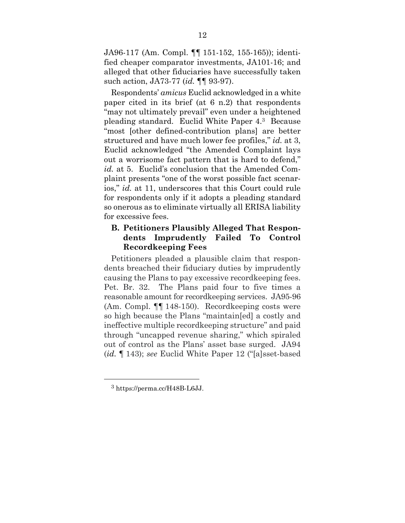JA96-117 (Am. Compl. ¶¶ 151-152, 155-165)); identified cheaper comparator investments, JA101-16; and alleged that other fiduciaries have successfully taken such action, JA73-77 (*id.* ¶¶ 93-97).

Respondents' *amicus* Euclid acknowledged in a white paper cited in its brief (at 6 n.2) that respondents "may not ultimately prevail" even under a heightened pleading standard. Euclid White Paper 4.3 Because "most [other defined-contribution plans] are better structured and have much lower fee profiles," *id.* at 3, Euclid acknowledged "the Amended Complaint lays out a worrisome fact pattern that is hard to defend," *id.* at 5. Euclid's conclusion that the Amended Complaint presents "one of the worst possible fact scenarios," *id.* at 11, underscores that this Court could rule for respondents only if it adopts a pleading standard so onerous as to eliminate virtually all ERISA liability for excessive fees.

### **B. Petitioners Plausibly Alleged That Respondents Imprudently Failed To Control Recordkeeping Fees**

Petitioners pleaded a plausible claim that respondents breached their fiduciary duties by imprudently causing the Plans to pay excessive recordkeeping fees. Pet. Br. 32. The Plans paid four to five times a reasonable amount for recordkeeping services. JA95-96 (Am. Compl. ¶¶ 148-150). Recordkeeping costs were so high because the Plans "maintain[ed] a costly and ineffective multiple recordkeeping structure" and paid through "uncapped revenue sharing," which spiraled out of control as the Plans' asset base surged. JA94 (*id.* ¶ 143); *see* Euclid White Paper 12 ("[a]sset-based

<sup>3</sup> https://perma.cc/H48B-L6JJ.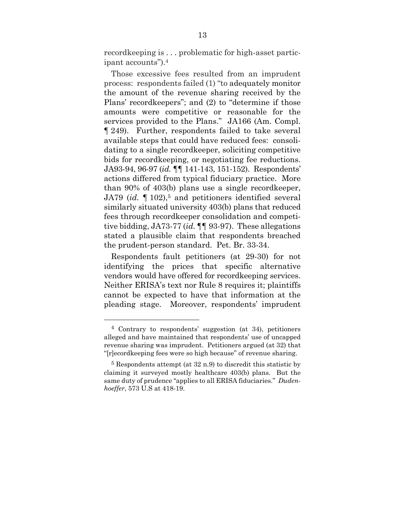recordkeeping is ... problematic for high-asset participant accounts").4

Those excessive fees resulted from an imprudent process: respondents failed (1) "to adequately monitor the amount of the revenue sharing received by the Plans' recordkeepers"; and (2) to "determine if those amounts were competitive or reasonable for the services provided to the Plans." JA166 (Am. Compl. ¶ 249). Further, respondents failed to take several available steps that could have reduced fees: consolidating to a single recordkeeper, soliciting competitive bids for recordkeeping, or negotiating fee reductions. JA93-94, 96-97 (*id.* ¶¶ 141-143, 151-152). Respondents' actions differed from typical fiduciary practice. More than 90% of 403(b) plans use a single recordkeeper, JA79 (*id.* 102),<sup>5</sup> and petitioners identified several similarly situated university 403(b) plans that reduced fees through recordkeeper consolidation and competitive bidding, JA73-77 (*id.* ¶¶ 93-97). These allegations stated a plausible claim that respondents breached the prudent-person standard. Pet. Br. 33-34.

Respondents fault petitioners (at 29-30) for not identifying the prices that specific alternative vendors would have offered for recordkeeping services. Neither ERISA's text nor Rule 8 requires it; plaintiffs cannot be expected to have that information at the pleading stage. Moreover, respondents' imprudent

<sup>4</sup> Contrary to respondents' suggestion (at 34), petitioners alleged and have maintained that respondents' use of uncapped revenue sharing was imprudent. Petitioners argued (at 32) that "[r]ecordkeeping fees were so high because" of revenue sharing.

 $5$  Respondents attempt (at  $32$  n.9) to discredit this statistic by claiming it surveyed mostly healthcare 403(b) plans. But the same duty of prudence "applies to all ERISA fiduciaries." *Dudenhoeffer*, 573 U.S at 418-19.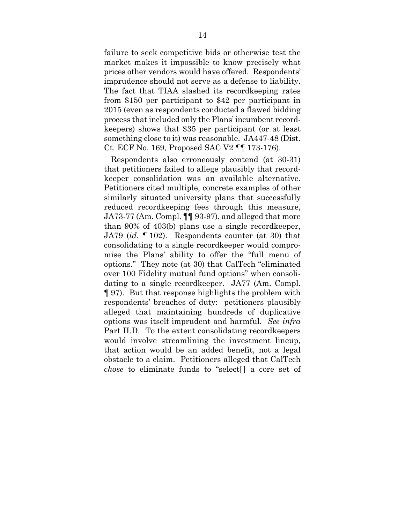failure to seek competitive bids or otherwise test the market makes it impossible to know precisely what prices other vendors would have offered. Respondents' imprudence should not serve as a defense to liability. The fact that TIAA slashed its recordkeeping rates from \$150 per participant to \$42 per participant in 2015 (even as respondents conducted a flawed bidding process that included only the Plans' incumbent recordkeepers) shows that \$35 per participant (or at least something close to it) was reasonable. JA447-48 (Dist. Ct. ECF No. 169, Proposed SAC V2 ¶¶ 173-176).

Respondents also erroneously contend (at 30-31) that petitioners failed to allege plausibly that recordkeeper consolidation was an available alternative. Petitioners cited multiple, concrete examples of other similarly situated university plans that successfully reduced recordkeeping fees through this measure, JA73-77 (Am. Compl. ¶¶ 93-97), and alleged that more than 90% of 403(b) plans use a single recordkeeper, JA79 (*id.* ¶ 102). Respondents counter (at 30) that consolidating to a single recordkeeper would compromise the Plans' ability to offer the "full menu of options." They note (at 30) that CalTech "eliminated over 100 Fidelity mutual fund options" when consolidating to a single recordkeeper. JA77 (Am. Compl. ¶ 97). But that response highlights the problem with respondents' breaches of duty: petitioners plausibly alleged that maintaining hundreds of duplicative options was itself imprudent and harmful. *See infra* Part II.D. To the extent consolidating recordkeepers would involve streamlining the investment lineup, that action would be an added benefit, not a legal obstacle to a claim. Petitioners alleged that CalTech *chose* to eliminate funds to "select[] a core set of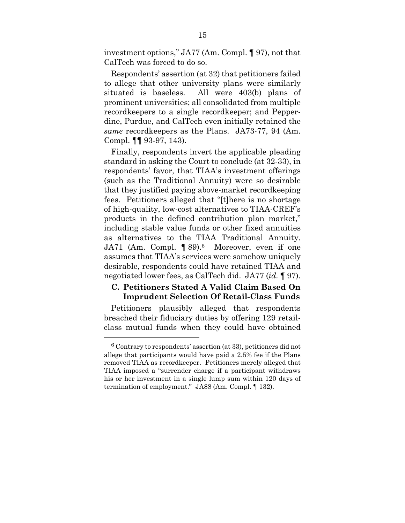investment options," JA77 (Am. Compl. ¶ 97), not that CalTech was forced to do so.

Respondents' assertion (at 32) that petitioners failed to allege that other university plans were similarly situated is baseless. All were 403(b) plans of prominent universities; all consolidated from multiple recordkeepers to a single recordkeeper; and Pepperdine, Purdue, and CalTech even initially retained the *same* recordkeepers as the Plans. JA73-77, 94 (Am. Compl. ¶¶ 93-97, 143).

Finally, respondents invert the applicable pleading standard in asking the Court to conclude (at 32-33), in respondents' favor, that TIAA's investment offerings (such as the Traditional Annuity) were so desirable that they justified paying above-market recordkeeping fees. Petitioners alleged that "[t]here is no shortage of high-quality, low-cost alternatives to TIAA-CREF's products in the defined contribution plan market," including stable value funds or other fixed annuities as alternatives to the TIAA Traditional Annuity. JA71 (Am. Compl. ¶ 89).<sup>6</sup> Moreover, even if one assumes that TIAA's services were somehow uniquely desirable, respondents could have retained TIAA and negotiated lower fees, as CalTech did. JA77 (*id.* ¶ 97).

### **C. Petitioners Stated A Valid Claim Based On Imprudent Selection Of Retail-Class Funds**

Petitioners plausibly alleged that respondents breached their fiduciary duties by offering 129 retailclass mutual funds when they could have obtained

 $6$  Contrary to respondents' assertion (at 33), petitioners did not allege that participants would have paid a 2.5% fee if the Plans removed TIAA as recordkeeper. Petitioners merely alleged that TIAA imposed a "surrender charge if a participant withdraws his or her investment in a single lump sum within 120 days of termination of employment." JA88 (Am. Compl. ¶ 132).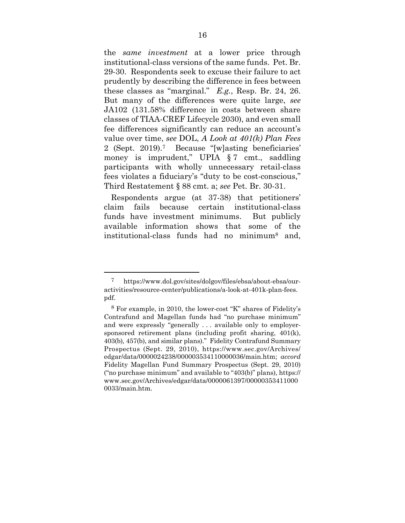the *same investment* at a lower price through institutional-class versions of the same funds. Pet. Br. 29-30. Respondents seek to excuse their failure to act prudently by describing the difference in fees between these classes as "marginal." *E.g.*, Resp. Br. 24, 26. But many of the differences were quite large, *see* JA102 (131.58% difference in costs between share classes of TIAA-CREF Lifecycle 2030), and even small fee differences significantly can reduce an account's value over time, *see* DOL, *A Look at 401(k) Plan Fees* 2 (Sept. 2019).7 Because "[w]asting beneficiaries' money is imprudent," UPIA § 7 cmt., saddling participants with wholly unnecessary retail-class fees violates a fiduciary's "duty to be cost-conscious," Third Restatement § 88 cmt. a; *see* Pet. Br. 30-31.

Respondents argue (at 37-38) that petitioners' claim fails because certain institutional-class funds have investment minimums. But publicly available information shows that some of the institutional-class funds had no minimum8 and,

<sup>7</sup> https://www.dol.gov/sites/dolgov/files/ebsa/about-ebsa/ouractivities/resource-center/publications/a-look-at-401k-plan-fees. pdf.

<sup>8</sup> For example, in 2010, the lower-cost "K" shares of Fidelity's Contrafund and Magellan funds had "no purchase minimum" and were expressly "generally . . . available only to employersponsored retirement plans (including profit sharing, 401(k), 403(b)*,* 457(b), and similar plans)." Fidelity Contrafund Summary Prospectus (Sept. 29, 2010), https://www.sec.gov/Archives/ edgar/data/0000024238/000003534110000036/main.htm; *accord*  Fidelity Magellan Fund Summary Prospectus (Sept. 29, 2010) ("no purchase minimum" and available to "403(b)" plans), https:// www.sec.gov/Archives/edgar/data/0000061397/00000353411000 0033/main.htm.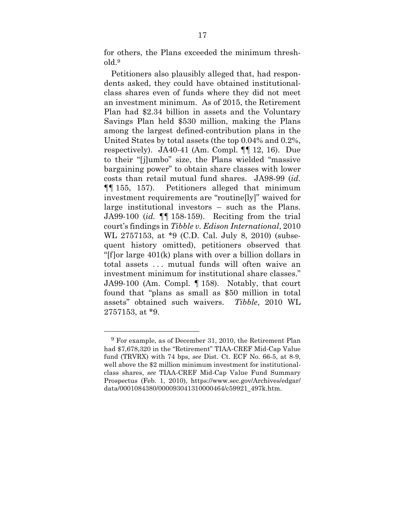for others, the Plans exceeded the minimum threshold.9

Petitioners also plausibly alleged that, had respondents asked, they could have obtained institutionalclass shares even of funds where they did not meet an investment minimum. As of 2015, the Retirement Plan had \$2.34 billion in assets and the Voluntary Savings Plan held \$530 million, making the Plans among the largest defined-contribution plans in the United States by total assets (the top 0.04% and 0.2%, respectively). JA40-41 (Am. Compl. ¶¶ 12, 16). Due to their "[j]umbo" size, the Plans wielded "massive bargaining power" to obtain share classes with lower costs than retail mutual fund shares. JA98-99 (*id.* ¶¶ 155, 157). Petitioners alleged that minimum investment requirements are "routine[ly]" waived for large institutional investors – such as the Plans. JA99-100 (*id.* ¶¶ 158-159). Reciting from the trial court's findings in *Tibble v. Edison International*, 2010 WL 2757153, at \*9 (C.D. Cal. July 8, 2010) (subsequent history omitted), petitioners observed that "[f]or large 401(k) plans with over a billion dollars in total assets . . . mutual funds will often waive an investment minimum for institutional share classes." JA99-100 (Am. Compl. ¶ 158). Notably, that court found that "plans as small as \$50 million in total assets" obtained such waivers. *Tibble*, 2010 WL 2757153, at \*9.

<u>.</u>

<sup>9</sup> For example, as of December 31, 2010, the Retirement Plan had \$7,678,320 in the "Retirement" TIAA-CREF Mid-Cap Value fund (TRVRX) with 74 bps, *see* Dist. Ct. ECF No. 66-5, at 8-9, well above the \$2 million minimum investment for institutionalclass shares, *see* TIAA-CREF Mid-Cap Value Fund Summary Prospectus (Feb. 1, 2010), https://www.sec.gov/Archives/edgar/ data/0001084380/000093041310000464/c59921\_497k.htm.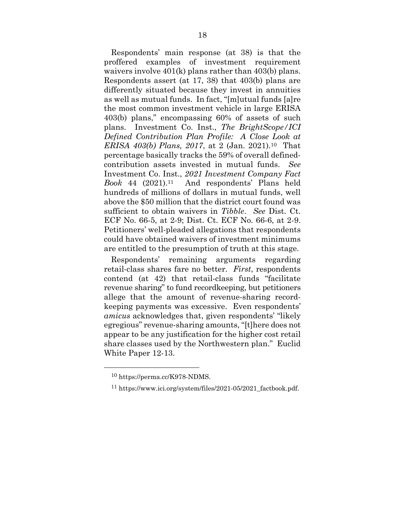Respondents' main response (at 38) is that the proffered examples of investment requirement waivers involve 401(k) plans rather than 403(b) plans. Respondents assert (at 17, 38) that 403(b) plans are differently situated because they invest in annuities as well as mutual funds. In fact, "[m]utual funds [a]re the most common investment vehicle in large ERISA 403(b) plans," encompassing 60% of assets of such plans. Investment Co. Inst., *The BrightScope/ICI Defined Contribution Plan Profile: A Close Look at ERISA 403(b) Plans, 2017*, at 2 (Jan. 2021).10 That percentage basically tracks the 59% of overall definedcontribution assets invested in mutual funds. *See*  Investment Co. Inst., *2021 Investment Company Fact Book* 44 (2021).11 And respondents' Plans held hundreds of millions of dollars in mutual funds, well above the \$50 million that the district court found was sufficient to obtain waivers in *Tibble*. *See* Dist. Ct. ECF No. 66-5, at 2-9; Dist. Ct. ECF No. 66-6, at 2-9. Petitioners' well-pleaded allegations that respondents could have obtained waivers of investment minimums are entitled to the presumption of truth at this stage.

Respondents' remaining arguments regarding retail-class shares fare no better. *First*, respondents contend (at 42) that retail-class funds "facilitate revenue sharing" to fund recordkeeping, but petitioners allege that the amount of revenue-sharing recordkeeping payments was excessive. Even respondents' *amicus* acknowledges that, given respondents' "likely egregious" revenue-sharing amounts, "[t]here does not appear to be any justification for the higher cost retail share classes used by the Northwestern plan." Euclid White Paper 12-13.

<u>.</u>

<sup>10</sup> https://perma.cc/K978-NDMS.

<sup>11</sup> https://www.ici.org/system/files/2021-05/2021\_factbook.pdf.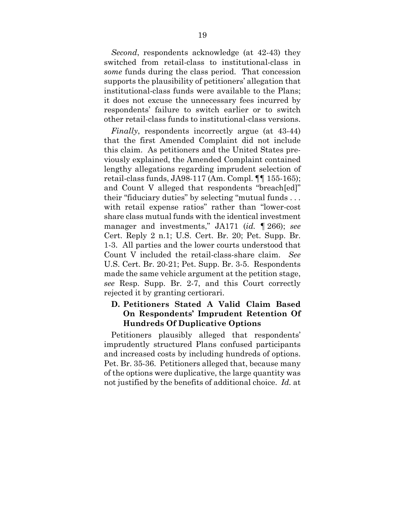*Second*, respondents acknowledge (at 42-43) they switched from retail-class to institutional-class in *some* funds during the class period. That concession supports the plausibility of petitioners' allegation that institutional-class funds were available to the Plans; it does not excuse the unnecessary fees incurred by respondents' failure to switch earlier or to switch other retail-class funds to institutional-class versions.

*Finally*, respondents incorrectly argue (at 43-44) that the first Amended Complaint did not include this claim. As petitioners and the United States previously explained, the Amended Complaint contained lengthy allegations regarding imprudent selection of retail-class funds, JA98-117 (Am. Compl. ¶¶ 155-165); and Count V alleged that respondents "breach[ed]" their "fiduciary duties" by selecting "mutual funds . . . with retail expense ratios" rather than "lower-cost" share class mutual funds with the identical investment manager and investments," JA171 (*id.* ¶ 266); *see*  Cert. Reply 2 n.1; U.S. Cert. Br. 20; Pet. Supp. Br. 1-3. All parties and the lower courts understood that Count V included the retail-class-share claim. *See*  U.S. Cert. Br. 20-21; Pet. Supp. Br. 3-5. Respondents made the same vehicle argument at the petition stage, *see* Resp. Supp. Br. 2-7, and this Court correctly rejected it by granting certiorari.

### **D. Petitioners Stated A Valid Claim Based On Respondents' Imprudent Retention Of Hundreds Of Duplicative Options**

Petitioners plausibly alleged that respondents' imprudently structured Plans confused participants and increased costs by including hundreds of options. Pet. Br. 35-36. Petitioners alleged that, because many of the options were duplicative, the large quantity was not justified by the benefits of additional choice. *Id.* at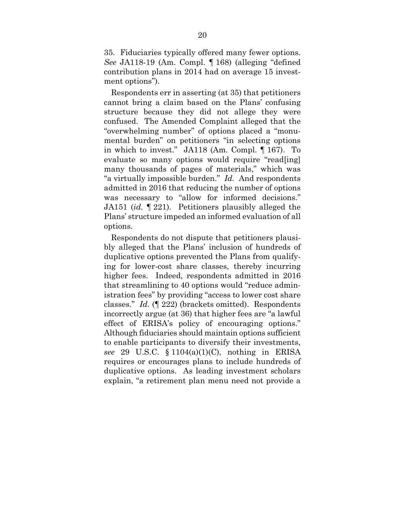35. Fiduciaries typically offered many fewer options. *See* JA118-19 (Am. Compl. ¶ 168) (alleging "defined contribution plans in 2014 had on average 15 investment options").

Respondents err in asserting (at 35) that petitioners cannot bring a claim based on the Plans' confusing structure because they did not allege they were confused. The Amended Complaint alleged that the "overwhelming number" of options placed a "monumental burden" on petitioners "in selecting options in which to invest." JA118 (Am. Compl. ¶ 167). To evaluate so many options would require "read[ing] many thousands of pages of materials," which was "a virtually impossible burden." *Id.* And respondents admitted in 2016 that reducing the number of options was necessary to "allow for informed decisions." JA151 (*id.* ¶ 221). Petitioners plausibly alleged the Plans' structure impeded an informed evaluation of all options.

Respondents do not dispute that petitioners plausibly alleged that the Plans' inclusion of hundreds of duplicative options prevented the Plans from qualifying for lower-cost share classes, thereby incurring higher fees. Indeed, respondents admitted in 2016 that streamlining to 40 options would "reduce administration fees" by providing "access to lower cost share classes." *Id.* (¶ 222) (brackets omitted). Respondents incorrectly argue (at 36) that higher fees are "a lawful effect of ERISA's policy of encouraging options." Although fiduciaries should maintain options sufficient to enable participants to diversify their investments, *see* 29 U.S.C. § 1104(a)(1)(C), nothing in ERISA requires or encourages plans to include hundreds of duplicative options. As leading investment scholars explain, "a retirement plan menu need not provide a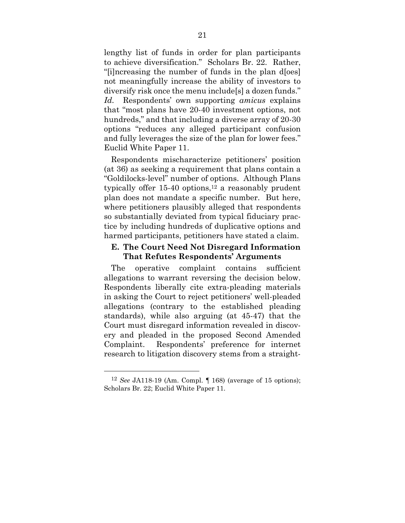lengthy list of funds in order for plan participants to achieve diversification." Scholars Br. 22. Rather, "[i]ncreasing the number of funds in the plan d[oes] not meaningfully increase the ability of investors to diversify risk once the menu include[s] a dozen funds." *Id.* Respondents' own supporting *amicus* explains that "most plans have 20-40 investment options, not hundreds," and that including a diverse array of 20-30 options "reduces any alleged participant confusion and fully leverages the size of the plan for lower fees." Euclid White Paper 11.

Respondents mischaracterize petitioners' position (at 36) as seeking a requirement that plans contain a "Goldilocks-level" number of options. Although Plans typically offer 15-40 options,<sup>12</sup> a reasonably prudent plan does not mandate a specific number. But here, where petitioners plausibly alleged that respondents so substantially deviated from typical fiduciary practice by including hundreds of duplicative options and harmed participants, petitioners have stated a claim.

#### **E. The Court Need Not Disregard Information That Refutes Respondents' Arguments**

The operative complaint contains sufficient allegations to warrant reversing the decision below. Respondents liberally cite extra-pleading materials in asking the Court to reject petitioners' well-pleaded allegations (contrary to the established pleading standards), while also arguing (at 45-47) that the Court must disregard information revealed in discovery and pleaded in the proposed Second Amended Complaint. Respondents' preference for internet research to litigation discovery stems from a straight-

<sup>12</sup> *See* JA118-19 (Am. Compl. ¶ 168) (average of 15 options); Scholars Br. 22; Euclid White Paper 11.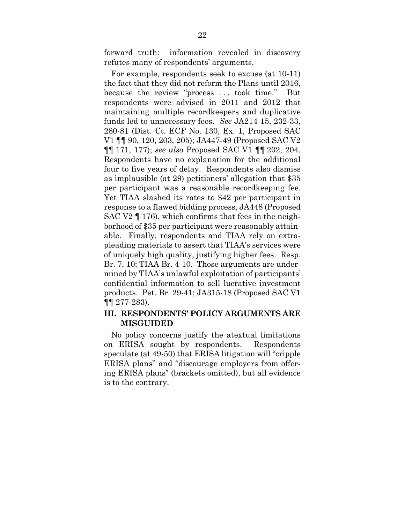forward truth: information revealed in discovery refutes many of respondents' arguments.

For example, respondents seek to excuse (at 10-11) the fact that they did not reform the Plans until 2016, because the review "process . . . took time." But respondents were advised in 2011 and 2012 that maintaining multiple recordkeepers and duplicative funds led to unnecessary fees. *See* JA214-15, 232-33, 280-81 (Dist. Ct. ECF No. 130, Ex. 1, Proposed SAC V1 ¶¶ 90, 120, 203, 205); JA447-49 (Proposed SAC V2 ¶¶ 171, 177); *see also* Proposed SAC V1 ¶¶ 202, 204. Respondents have no explanation for the additional four to five years of delay. Respondents also dismiss as implausible (at 29) petitioners' allegation that \$35 per participant was a reasonable recordkeeping fee. Yet TIAA slashed its rates to \$42 per participant in response to a flawed bidding process, JA448 (Proposed SAC V2 ¶ 176), which confirms that fees in the neighborhood of \$35 per participant were reasonably attainable. Finally, respondents and TIAA rely on extrapleading materials to assert that TIAA's services were of uniquely high quality, justifying higher fees. Resp. Br. 7, 10; TIAA Br. 4-10. Those arguments are undermined by TIAA's unlawful exploitation of participants' confidential information to sell lucrative investment products. Pet. Br. 29-41; JA315-18 (Proposed SAC V1 ¶¶ 277-283).

#### **III. RESPONDENTS' POLICY ARGUMENTS ARE MISGUIDED**

No policy concerns justify the atextual limitations on ERISA sought by respondents. Respondents speculate (at 49-50) that ERISA litigation will "cripple ERISA plans" and "discourage employers from offering ERISA plans" (brackets omitted), but all evidence is to the contrary.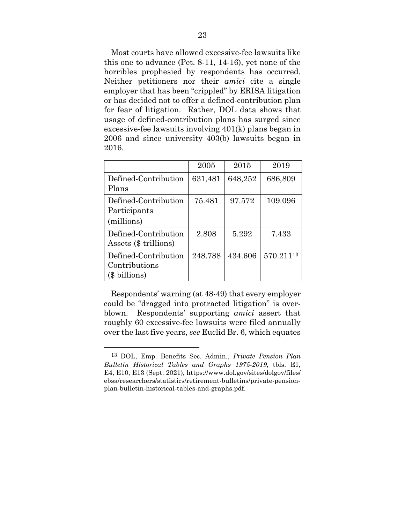Most courts have allowed excessive-fee lawsuits like this one to advance (Pet. 8-11, 14-16), yet none of the horribles prophesied by respondents has occurred. Neither petitioners nor their *amici* cite a single employer that has been "crippled" by ERISA litigation or has decided not to offer a defined-contribution plan for fear of litigation. Rather, DOL data shows that usage of defined-contribution plans has surged since excessive-fee lawsuits involving 401(k) plans began in 2006 and since university 403(b) lawsuits began in 2016.

|                                                        | 2005    | 2015    | 2019      |
|--------------------------------------------------------|---------|---------|-----------|
| Defined-Contribution<br>Plans                          | 631,481 | 648,252 | 686,809   |
| Defined-Contribution<br>Participants<br>(millions)     | 75.481  | 97.572  | 109.096   |
| Defined-Contribution<br>Assets (\$ trillions)          | 2.808   | 5.292   | 7.433     |
| Defined-Contribution<br>Contributions<br>(\$ billions) | 248.788 | 434.606 | 570.21113 |

Respondents' warning (at 48-49) that every employer could be "dragged into protracted litigation" is overblown. Respondents' supporting *amici* assert that roughly 60 excessive-fee lawsuits were filed annually over the last five years, *see* Euclid Br. 6, which equates

<sup>13</sup> DOL, Emp. Benefits Sec. Admin., *Private Pension Plan Bulletin Historical Tables and Graphs 1975-2019*, tbls. E1, E4, E10, E13 (Sept. 2021), https://www.dol.gov/sites/dolgov/files/ ebsa/researchers/statistics/retirement-bulletins/private-pensionplan-bulletin-historical-tables-and-graphs.pdf.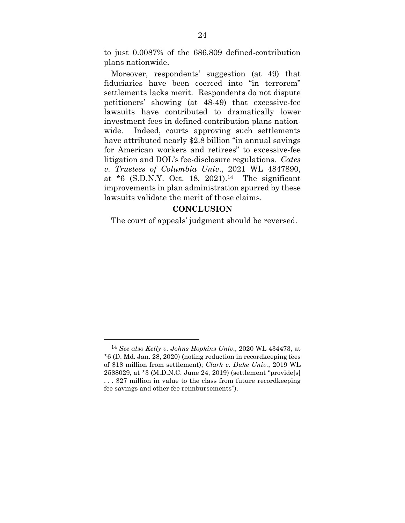to just 0.0087% of the 686,809 defined-contribution plans nationwide.

Moreover, respondents' suggestion (at 49) that fiduciaries have been coerced into "in terrorem" settlements lacks merit. Respondents do not dispute petitioners' showing (at 48-49) that excessive-fee lawsuits have contributed to dramatically lower investment fees in defined-contribution plans nationwide. Indeed, courts approving such settlements have attributed nearly \$2.8 billion "in annual savings for American workers and retirees" to excessive-fee litigation and DOL's fee-disclosure regulations. *Cates v. Trustees of Columbia Univ*., 2021 WL 4847890, at \*6 (S.D.N.Y. Oct. 18, 2021).14 The significant improvements in plan administration spurred by these lawsuits validate the merit of those claims.

#### **CONCLUSION**

The court of appeals' judgment should be reversed.

<sup>14</sup> *See also Kelly v. Johns Hopkins Univ.*, 2020 WL 434473, at \*6 (D. Md. Jan. 28, 2020) (noting reduction in recordkeeping fees of \$18 million from settlement); *Clark v. Duke Univ.*, 2019 WL 2588029, at \*3 (M.D.N.C. June 24, 2019) (settlement "provide[s] . . . \$27 million in value to the class from future recordkeeping fee savings and other fee reimbursements").